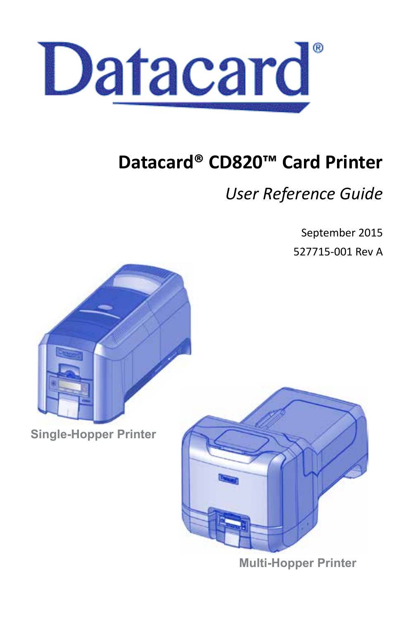

# **Datacard® CD820™ Card Printer**

# *User Reference Guide*

September 2015

527715-001 Rev A



**Single-Hopper Printer**



**Multi-Hopper Printer**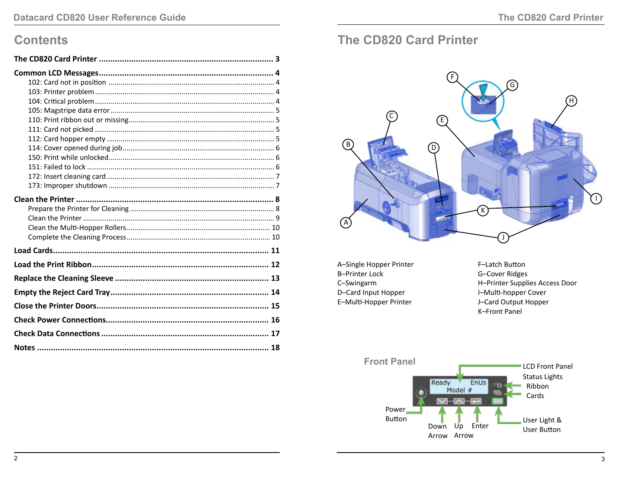### **Contents**

| Notes ……………………………………………………………………………………… 18 |  |
|--------------------------------------------|--|

# <span id="page-1-0"></span>The CD820 Card Printer



A-Single Hopper Printer **B-Printer Lock** C-Swingarm D-Card Input Hopper E-Multi-Hopper Printer

F-Latch Button G-Cover Ridges H-Printer Supplies Access Door I-Multi-hopper Cover J-Card Output Hopper **K-Front Panel** 

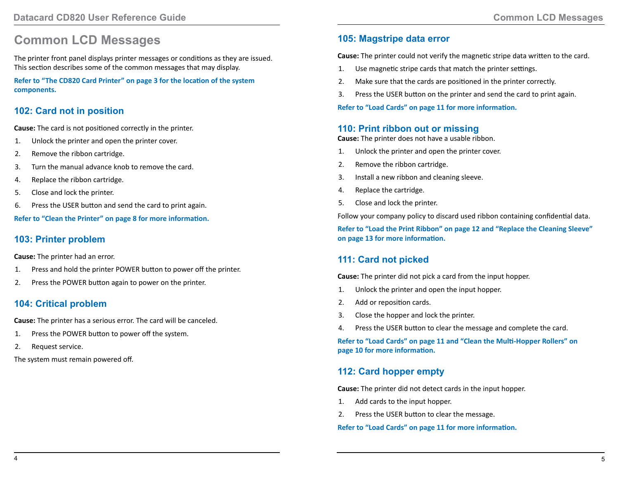## <span id="page-2-0"></span>**Common LCD Messages**

The printer front panel displays printer messages or conditions as they are issued. This section describes some of the common messages that may display.

**Refer to ["The CD820 Card Printer" on page 3](#page-1-0) for the location of the system components.**

#### **102: Card not in position**

**Cause:** The card is not positioned correctly in the printer.

- 1. Unlock the printer and open the printer cover.
- 2. Remove the ribbon cartridge.
- 3. Turn the manual advance knob to remove the card.
- 4. Replace the ribbon cartridge.
- 5. Close and lock the printer.
- 6. Press the USER button and send the card to print again.

**Refer to ["Clean the Printer" on page 8](#page-4-1) for more information.** 

#### **103: Printer problem**

**Cause:** The printer had an error.

- 1. Press and hold the printer POWER button to power off the printer.
- 2. Press the POWER button again to power on the printer.

#### **104: Critical problem**

**Cause:** The printer has a serious error. The card will be canceled.

- 1. Press the POWER button to power off the system.
- 2. Request service.

The system must remain powered off.

#### **105: Magstripe data error**

**Cause:** The printer could not verify the magnetic stripe data written to the card.

- 1. Use magnetic stripe cards that match the printer settings.
- 2. Make sure that the cards are positioned in the printer correctly.
- 3. Press the USER button on the printer and send the card to print again.

**Refer to ["Load Cards" on page 11](#page-5-1) for more information.** 

#### **110: Print ribbon out or missing**

**Cause:** The printer does not have a usable ribbon.

- 1. Unlock the printer and open the printer cover.
- 2. Remove the ribbon cartridge.
- 3. Install a new ribbon and cleaning sleeve.
- 4. Replace the cartridge.
- 5. Close and lock the printer.

Follow your company policy to discard used ribbon containing confidential data.

**Refer to ["Load the Print Ribbon" on page 12](#page-6-1) and ["Replace the Cleaning Sleeve"](#page-6-2)  [on page 13](#page-6-2) for more information.** 

### **111: Card not picked**

**Cause:** The printer did not pick a card from the input hopper.

- 1. Unlock the printer and open the input hopper.
- 2. Add or reposition cards.
- 3. Close the hopper and lock the printer.
- 4. Press the USER button to clear the message and complete the card.

**Refer to ["Load Cards" on page 11](#page-5-1) and "Clean the Multi-Hopper Rollers" on page 10 for more information.**

#### **112: Card hopper empty**

**Cause:** The printer did not detect cards in the input hopper.

- 1. Add cards to the input hopper.
- 2. Press the USER button to clear the message.

**Refer to ["Load Cards" on page 11](#page-5-1) for more information.**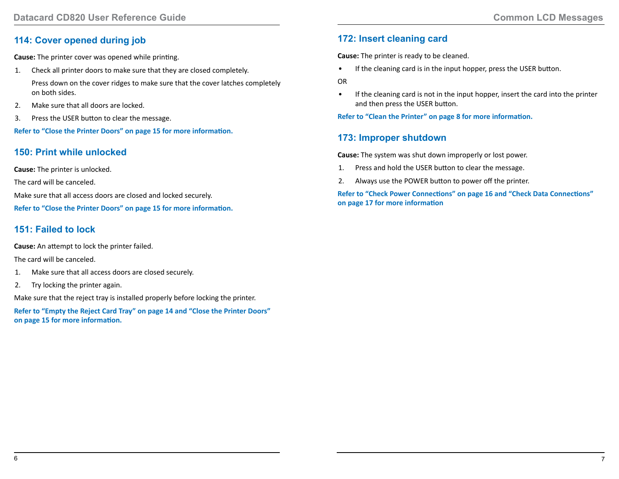#### <span id="page-3-0"></span>**114: Cover opened during job**

**Cause:** The printer cover was opened while printing.

1. Check all printer doors to make sure that they are closed completely.

Press down on the cover ridges to make sure that the cover latches completely on both sides.

- 2. Make sure that all doors are locked.
- 3. Press the USER button to clear the message.

**Refer to ["Close the Printer Doors" on page 15](#page-7-1) for more information.**

#### **150: Print while unlocked**

**Cause:** The printer is unlocked.

The card will be canceled.

Make sure that all access doors are closed and locked securely.

**Refer to ["Close the Printer Doors" on page 15](#page-7-1) for more information.**

#### **151: Failed to lock**

**Cause:** An attempt to lock the printer failed.

The card will be canceled.

- 1. Make sure that all access doors are closed securely.
- 2. Try locking the printer again.

Make sure that the reject tray is installed properly before locking the printer.

**Refer to ["Empty the Reject Card Tray" on page 14](#page-7-2) and ["Close the Printer Doors"](#page-7-1)  [on page 15](#page-7-1) for more information.**

#### **172: Insert cleaning card**

**Cause:** The printer is ready to be cleaned.

• If the cleaning card is in the input hopper, press the USER button.

OR

• If the cleaning card is not in the input hopper, insert the card into the printer and then press the USER button.

**Refer to ["Clean the Printer" on page 8](#page-4-1) for more information.**

#### **173: Improper shutdown**

**Cause:** The system was shut down improperly or lost power.

- 1. Press and hold the USER button to clear the message.
- 2. Always use the POWER button to power off the printer.

**Refer to ["Check Power Connections" on page 16](#page-8-1) and ["Check Data Connections"](#page-8-2)  [on page 17](#page-8-2) for more information**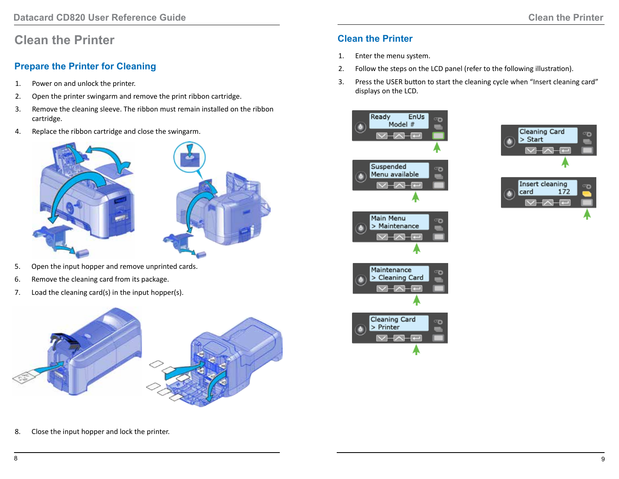## <span id="page-4-1"></span><span id="page-4-0"></span>**Clean the Printer**

### **Prepare the Printer for Cleaning**

- 1. Power on and unlock the printer.
- 2. Open the printer swingarm and remove the print ribbon cartridge.
- 3. Remove the cleaning sleeve. The ribbon must remain installed on the ribbon cartridge.
- 4. Replace the ribbon cartridge and close the swingarm.



- 5. Open the input hopper and remove unprinted cards.
- 6. Remove the cleaning card from its package.
- 7. Load the cleaning card(s) in the input hopper(s).



8. Close the input hopper and lock the printer.

#### **Clean the Printer**

- 1. Enter the menu system.
- 2. Follow the steps on the LCD panel (refer to the following illustration).
- 3. Press the USER button to start the cleaning cycle when "Insert cleaning card" displays on the LCD.





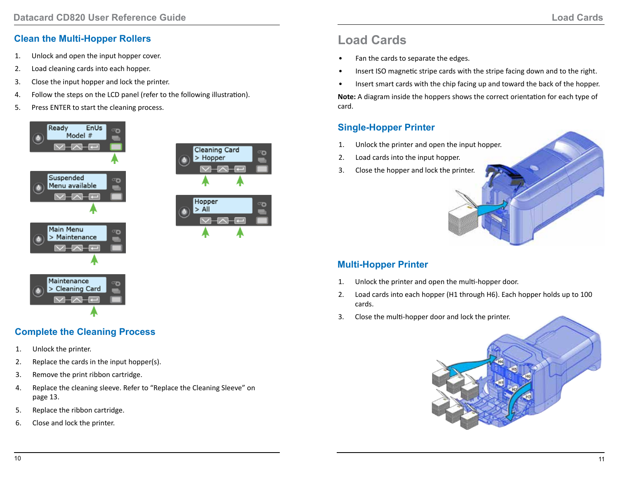### <span id="page-5-0"></span>**Clean the Multi-Hopper Rollers**

- 1. Unlock and open the input hopper cover.
- 2. Load cleaning cards into each hopper.
- 3. Close the input hopper and lock the printer.
- 4. Follow the steps on the LCD panel (refer to the following illustration).
- 5. Press ENTER to start the cleaning process.





# <span id="page-5-1"></span>**Load Cards**

- Fan the cards to separate the edges.
- Insert ISO magnetic stripe cards with the stripe facing down and to the right.
- Insert smart cards with the chip facing up and toward the back of the hopper.

**Note:** A diagram inside the hoppers shows the correct orientation for each type of card.

### **Single-Hopper Printer**

- 1. Unlock the printer and open the input hopper.
- 2. Load cards into the input hopper.
- 3. Close the hopper and lock the printer.

### **Multi-Hopper Printer**

- 1. Unlock the printer and open the multi-hopper door.
- 2. Load cards into each hopper (H1 through H6). Each hopper holds up to 100 cards.
- 3. Close the multi-hopper door and lock the printer.



### **Complete the Cleaning Process**

- 1. Unlock the printer.
- 2. Replace the cards in the input hopper(s).
- 3. Remove the print ribbon cartridge.
- 4. Replace the cleaning sleeve. Refer to ["Replace the Cleaning Sleeve" on](#page-6-2)  [page 13.](#page-6-2)
- 5. Replace the ribbon cartridge.
- 6. Close and lock the printer.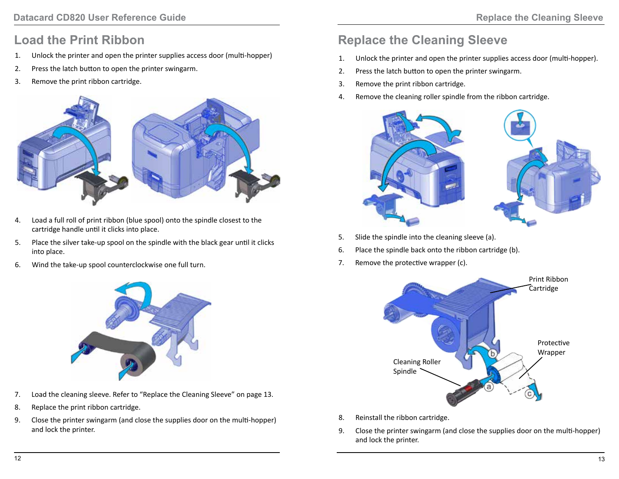## <span id="page-6-1"></span><span id="page-6-0"></span>**Load the Print Ribbon**

- 1. Unlock the printer and open the printer supplies access door (multi-hopper)
- 2. Press the latch button to open the printer swingarm.
- 3. Remove the print ribbon cartridge.



- 4. Load a full roll of print ribbon (blue spool) onto the spindle closest to the cartridge handle until it clicks into place.
- 5. Place the silver take-up spool on the spindle with the black gear until it clicks into place.
- 6. Wind the take-up spool counterclockwise one full turn.



- 7. Load the cleaning sleeve. Refer to ["Replace the Cleaning Sleeve" on page 13](#page-6-2).
- 8. Replace the print ribbon cartridge.
- 9. Close the printer swingarm (and close the supplies door on the multi-hopper) and lock the printer.

# <span id="page-6-2"></span>**Replace the Cleaning Sleeve**

- 1. Unlock the printer and open the printer supplies access door (multi-hopper).
- 2. Press the latch button to open the printer swingarm.
- 3. Remove the print ribbon cartridge.
- 4. Remove the cleaning roller spindle from the ribbon cartridge.



- 5. Slide the spindle into the cleaning sleeve (a).
- 6. Place the spindle back onto the ribbon cartridge (b).
- 7. Remove the protective wrapper (c).



- 8. Reinstall the ribbon cartridge.
- 9. Close the printer swingarm (and close the supplies door on the multi-hopper) and lock the printer.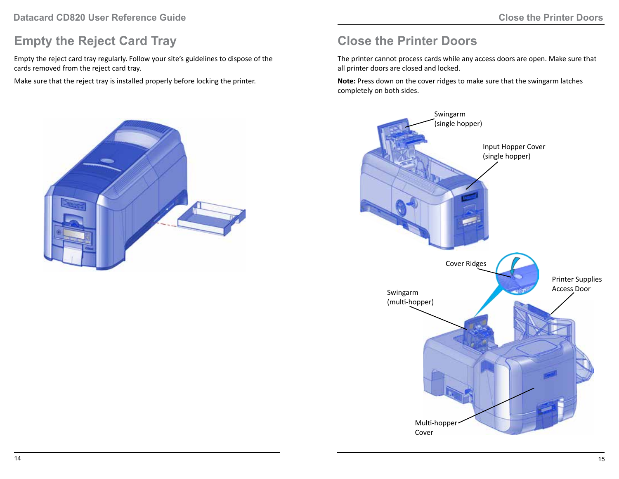## <span id="page-7-2"></span><span id="page-7-0"></span>**Empty the Reject Card Tray**

Empty the reject card tray regularly. Follow your site's guidelines to dispose of the cards removed from the reject card tray.

Make sure that the reject tray is installed properly before locking the printer.



# <span id="page-7-1"></span>**Close the Printer Doors**

The printer cannot process cards while any access doors are open. Make sure that all printer doors are closed and locked.

**Note:** Press down on the cover ridges to make sure that the swingarm latches completely on both sides.

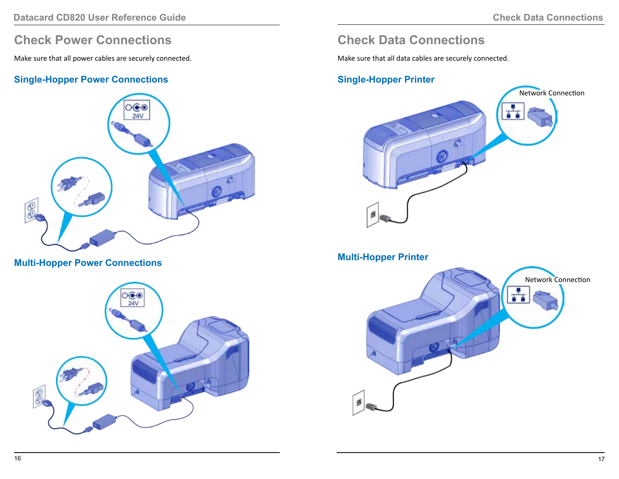## <span id="page-8-1"></span><span id="page-8-0"></span>**Check Power Connections**

Make sure that all power cables are securely connected.

#### **Single-Hopper Power Connections**



**Multi-Hopper Power Connections**



## <span id="page-8-2"></span>**Check Data Connections**

Make sure that all data cables are securely connected.

#### **Single-Hopper Printer**



#### **Multi-Hopper Printer**

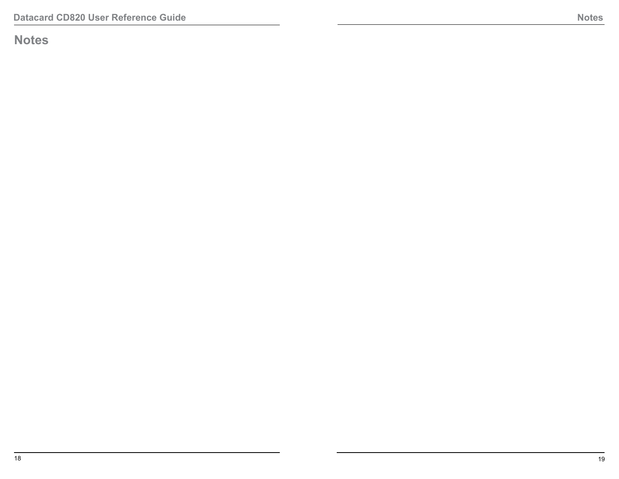<span id="page-9-0"></span>**Notes**